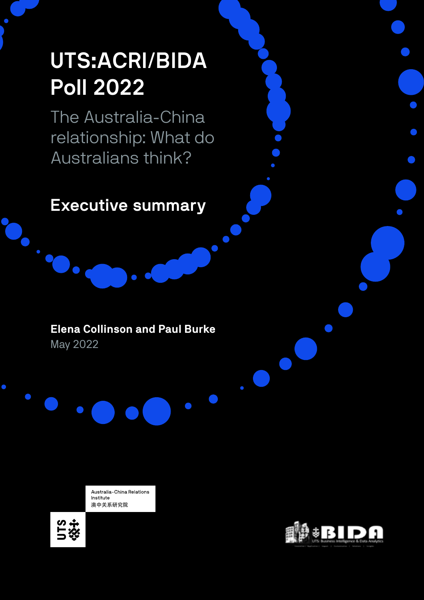# UTS:ACRI/BIDA Poll 2022

The Australia-China relationship: What do Australians think?

Executive summary

# **Elena Collinson and Paul Burke** May 2022

Australia-China Relations Institute 澳中关系研究院



 $\bigcirc$ 

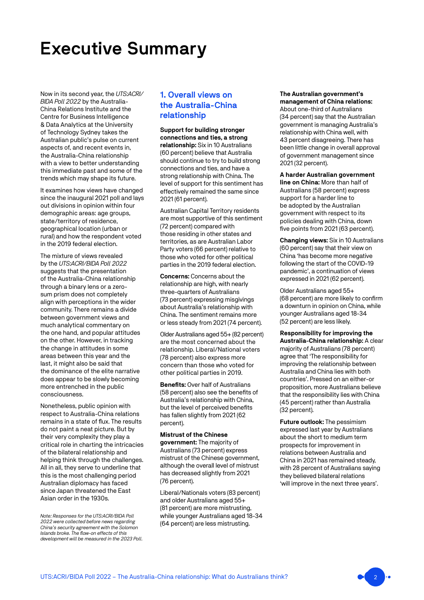# Executive Summary

Now in its second year, the *UTS:ACRI/ BIDA Poll 2022* by the Australia-China Relations Institute and the Centre for Business Intelligence & Data Analytics at the University of Technology Sydney takes the Australian public's pulse on current aspects of, and recent events in, the Australia-China relationship with a view to better understanding this immediate past and some of the trends which may shape its future.

It examines how views have changed since the inaugural 2021 poll and lays out divisions in opinion within four demographic areas: age groups, state/territory of residence, geographical location (urban or rural) and how the respondent voted in the 2019 federal election.

The mixture of views revealed by the *UTS:ACRI/BIDA Poll 2022* suggests that the presentation of the Australia-China relationship through a binary lens or a zerosum prism does not completely align with perceptions in the wider community. There remains a divide between government views and much analytical commentary on the one hand, and popular attitudes on the other. However, in tracking the change in attitudes in some areas between this year and the last, it might also be said that the dominance of the elite narrative does appear to be slowly becoming more entrenched in the public consciousness.

Nonetheless, public opinion with respect to Australia-China relations remains in a state of flux. The results do not paint a neat picture. But by their very complexity they play a critical role in charting the intricacies of the bilateral relationship and helping think through the challenges. All in all, they serve to underline that this is the most challenging period Australian diplomacy has faced since Japan threatened the East Asian order in the 1930s.

*Note: Responses for the UTS:ACRI/BIDA Poll 2022 were collected before news regarding China's security agreement with the Solomon Islands broke. The flow-on effects of this development will be measured in the 2023 Poll.*

# 1. Overall views on the Australia-China relationship

**Support for building stronger connections and ties, a strong relationship:** Six in 10 Australians (60 percent) believe that Australia should continue to try to build strong connections and ties, and have a strong relationship with China. The level of support for this sentiment has effectively remained the same since 2021 (61 percent).

Australian Capital Territory residents are most supportive of this sentiment (72 percent) compared with those residing in other states and territories, as are Australian Labor Party voters (66 percent) relative to those who voted for other political parties in the 2019 federal election.

**Concerns:** Concerns about the relationship are high, with nearly three-quarters of Australians (73 percent) expressing misgivings about Australia's relationship with China. The sentiment remains more or less steady from 2021 (74 percent).

Older Australians aged 55+ (82 percent) are the most concerned about the relationship. Liberal/National voters (78 percent) also express more concern than those who voted for other political parties in 2019.

**Benefits: Over half of Australians** (58 percent) also see the benefits of Australia's relationship with China, but the level of perceived benefits has fallen slightly from 2021 (62 percent).

**Mistrust of the Chinese government:** The majority of Australians (73 percent) express mistrust of the Chinese government, although the overall level of mistrust has decreased slightly from 2021 (76 percent).

Liberal/Nationals voters (83 percent) and older Australians aged 55+ (81 percent) are more mistrusting, while younger Australians aged 18-34 (64 percent) are less mistrusting.

#### **The Australian government's management of China relations:**

About one-third of Australians (34 percent) say that the Australian government is managing Australia's relationship with China well, with 43 percent disagreeing. There has been little change in overall approval of government management since 2021 (32 percent).

### **A harder Australian government**

**line on China:** More than half of Australians (58 percent) express support for a harder line to be adopted by the Australian government with respect to its policies dealing with China, down five points from 2021 (63 percent).

**Changing views:** Six in 10 Australians (60 percent) say that their view on China 'has become more negative following the start of the COVID-19 pandemic', a continuation of views expressed in 2021 (62 percent).

Older Australians aged 55+ (68 percent) are more likely to confirm a downturn in opinion on China, while younger Australians aged 18-34 (52 percent) are less likely.

**Responsibility for improving the Australia-China relationship:** A clear majority of Australians (78 percent) agree that 'The responsibility for improving the relationship between Australia and China lies with both countries'. Pressed on an either-or proposition, more Australians believe that the responsibility lies with China (45 percent) rather than Australia (32 percent).

**Future outlook:** The pessimism expressed last year by Australians about the short to medium term prospects for improvement in relations between Australia and China in 2021 has remained steady, with 28 percent of Australians saying they believed bilateral relations 'will improve in the next three years'.

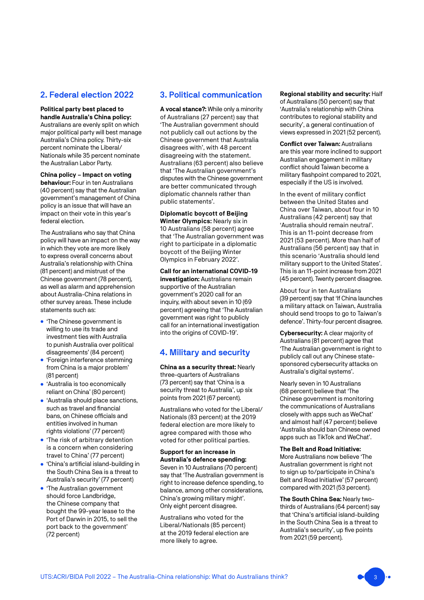# 2. Federal election 2022

#### **Political party best placed to handle Australia's China policy:**

Australians are evenly split on which major political party will best manage Australia's China policy. Thirty-six percent nominate the Liberal/ Nationals while 35 percent nominate the Australian Labor Party.

#### **China policy – Impact on voting**

**behaviour:** Four in ten Australians (40 percent) say that the Australian government's management of China policy is an issue that will have an impact on their vote in this year's federal election.

The Australians who say that China policy will have an impact on the way in which they vote are more likely to express overall concerns about Australia's relationship with China (81 percent) and mistrust of the Chinese government (78 percent), as well as alarm and apprehension about Australia-China relations in other survey areas. These include statements such as:

- 'The Chinese government is willing to use its trade and investment ties with Australia to punish Australia over political disagreements' (84 percent)
- 'Foreign interference stemming from China is a major problem' (81 percent)
- 'Australia is too economically reliant on China' (80 percent)
- 'Australia should place sanctions, such as travel and financial bans, on Chinese officials and entities involved in human rights violations' (77 percent)
- 'The risk of arbitrary detention is a concern when considering travel to China' (77 percent)
- 'China's artificial island-building in the South China Sea is a threat to Australia's security' (77 percent)
- 'The Australian government should force Landbridge, the Chinese company that bought the 99-year lease to the Port of Darwin in 2015, to sell the port back to the government' (72 percent)

# 3. Political communication

**A vocal stance?:** While only a minority of Australians (27 percent) say that 'The Australian government should not publicly call out actions by the Chinese government that Australia disagrees with', with 48 percent disagreeing with the statement. Australians (63 percent) also believe that 'The Australian government's disputes with the Chinese government are better communicated through diplomatic channels rather than public statements'.

**Diplomatic boycott of Beijing Winter Olympics:** Nearly six in 10 Australians (58 percent) agree that 'The Australian government was right to participate in a diplomatic boycott of the Beijing Winter Olympics in February 2022'.

**Call for an international COVID-19 investigation:** Australians remain supportive of the Australian government's 2020 call for an inquiry, with about seven in 10 (69 percent) agreeing that 'The Australian government was right to publicly call for an international investigation into the origins of COVID-19'.

# 4. Military and security

**China as a security threat:** Nearly three-quarters of Australians (73 percent) say that 'China is a security threat to Australia', up six points from 2021(67 percent).

Australians who voted for the Liberal/ Nationals (83 percent) at the 2019 federal election are more likely to agree compared with those who voted for other political parties.

**Support for an increase in Australia's defence spending:**  Seven in 10 Australians (70 percent) say that 'The Australian government is right to increase defence spending, to balance, among other considerations, China's growing military might'. Only eight percent disagree.

Australians who voted for the Liberal/Nationals (85 percent) at the 2019 federal election are more likely to agree.

**Regional stability and security:** Half of Australians (50 percent) say that 'Australia's relationship with China contributes to regional stability and security', a general continuation of views expressed in 2021 (52 percent).

**Conflict over Taiwan:** Australians are this year more inclined to support Australian engagement in military conflict should Taiwan become a military flashpoint compared to 2021, especially if the US is involved.

In the event of military conflict between the United States and China over Taiwan, about four in 10 Australians (42 percent) say that 'Australia should remain neutral'. This is an 11-point decrease from 2021 (53 percent). More than half of Australians (56 percent) say that in this scenario 'Australia should lend military support to the United States'. This is an 11-point increase from 2021 (45 percent). Twenty percent disagree.

About four in ten Australians (39 percent) say that 'If China launches a military attack on Taiwan, Australia should send troops to go to Taiwan's defence'. Thirty-four percent disagree.

**Cybersecurity:** A clear majority of Australians (81 percent) agree that 'The Australian government is right to publicly call out any Chinese statesponsored cybersecurity attacks on Australia's digital systems'.

Nearly seven in 10 Australians (68 percent) believe that 'The Chinese government is monitoring the communications of Australians closely with apps such as WeChat' and almost half (47 percent) believe 'Australia should ban Chinese owned apps such as TikTok and WeChat'.

#### **The Belt and Road Initiative:**

More Australians now believe 'The Australian government is right not to sign up to/participate in China's Belt and Road Initiative' (57 percent) compared with 2021 (53 percent).

**The South China Sea:** Nearly twothirds of Australians (64 percent) say that 'China's artificial island-building in the South China Sea is a threat to Australia's security', up five points from 2021 (59 percent).

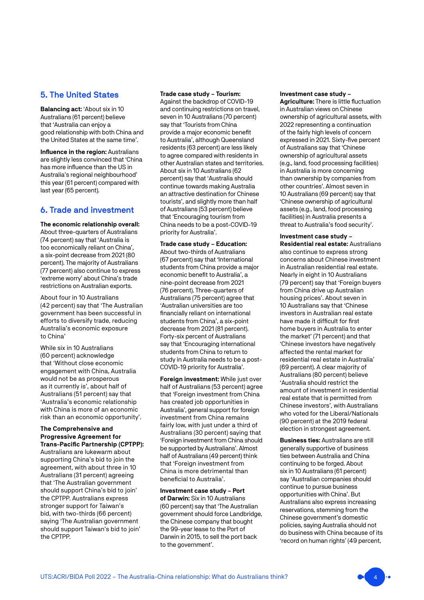# 5. The United States

**Balancing act:** 'About six in 10 Australians (61 percent) believe that 'Australia can enjoy a good relationship with both China and the United States at the same time'.

**Influence in the region: Australians** are slightly less convinced that 'China has more influence than the US in Australia's regional neighbourhood' this year (61 percent) compared with last year (65 percent).

# 6. Trade and investment

**The economic relationship overall:**  About three-quarters of Australians (74 percent) say that 'Australia is too economically reliant on China', a six-point decrease from 2021 (80 percent). The majority of Australians (77 percent) also continue to express 'extreme worry' about China's trade restrictions on Australian exports.

About four in 10 Australians (42 percent) say that 'The Australian government has been successful in efforts to diversify trade, reducing Australia's economic exposure to China'

While six in 10 Australians (60 percent) acknowledge that 'Without close economic engagement with China, Australia would not be as prosperous as it currently is', about half of Australians (51 percent) say that 'Australia's economic relationship with China is more of an economic risk than an economic opportunity'.

#### **The Comprehensive and Progressive Agreement for Trans-Pacific Partnership (CPTPP):**

Australians are lukewarm about supporting China's bid to join the agreement, with about three in 10 Australians (31 percent) agreeing that 'The Australian government should support China's bid to join' the CPTPP. Australians express stronger support for Taiwan's bid, with two-thirds (66 percent) saying 'The Australian government should support Taiwan's bid to join' the CPTPP.

#### **Trade case study – Tourism:**

Against the backdrop of COVID-19 and continuing restrictions on travel, seven in 10 Australians (70 percent) say that 'Tourists from China provide a major economic benefit to Australia', although Queensland residents (63 percent) are less likely to agree compared with residents in other Australian states and territories. About six in 10 Australians (62 percent) say that 'Australia should continue towards making Australia an attractive destination for Chinese tourists', and slightly more than half of Australians (53 percent) believe that 'Encouraging tourism from China needs to be a post-COVID-19 priority for Australia'.

**Trade case study – Education:**  About two-thirds of Australians (67 percent) say that 'International students from China provide a major economic benefit to Australia', a nine-point decrease from 2021 (76 percent). Three-quarters of Australians (75 percent) agree that 'Australian universities are too financially reliant on international students from China', a six-point decrease from 2021 (81 percent). Forty-six percent of Australians say that 'Encouraging international students from China to return to study in Australia needs to be a post-COVID-19 priority for Australia'.

**Foreign investment:** While just over half of Australians (53 percent) agree that 'Foreign investment from China has created job opportunities in Australia', general support for foreign investment from China remains fairly low, with just under a third of Australians (30 percent) saying that 'Foreign investment from China should be supported by Australians'. Almost half of Australians (49 percent) think that 'Foreign investment from China is more detrimental than beneficial to Australia'.

**Investment case study – Port of Darwin:** Six in 10 Australians (60 percent) say that 'The Australian government should force Landbridge, the Chinese company that bought the 99-year lease to the Port of Darwin in 2015, to sell the port back to the government'.

#### **Investment case study –**

**Agriculture:** There is little fluctuation in Australian views on Chinese ownership of agricultural assets, with 2022 representing a continuation of the fairly high levels of concern expressed in 2021. Sixty-five percent of Australians say that 'Chinese ownership of agricultural assets (e.g., land, food processing facilities) in Australia is more concerning than ownership by companies from other countries'. Almost seven in 10 Australians (69 percent) say that 'Chinese ownership of agricultural assets (e.g., land, food processing facilities) in Australia presents a threat to Australia's food security'.

**Investment case study – Residential real estate:** Australians also continue to express strong concerns about Chinese investment in Australian residential real estate. Nearly in eight in 10 Australians (79 percent) say that 'Foreign buyers from China drive up Australian housing prices'. About seven in 10 Australians say that 'Chinese investors in Australian real estate have made it difficult for first home buyers in Australia to enter the market' (71 percent) and that 'Chinese investors have negatively affected the rental market for residential real estate in Australia' (69 percent). A clear majority of Australians (80 percent) believe 'Australia should restrict the amount of investment in residential real estate that is permitted from Chinese investors', with Australians who voted for the Liberal/Nationals (90 percent) at the 2019 federal election in strongest agreement.

**Business ties:** Australians are still generally supportive of business ties between Australia and China continuing to be forged. About six in 10 Australians (61 percent) say 'Australian companies should continue to pursue business opportunities with China'. But Australians also express increasing reservations, stemming from the Chinese government's domestic policies, saying Australia should not do business with China because of its 'record on human rights' (49 percent,